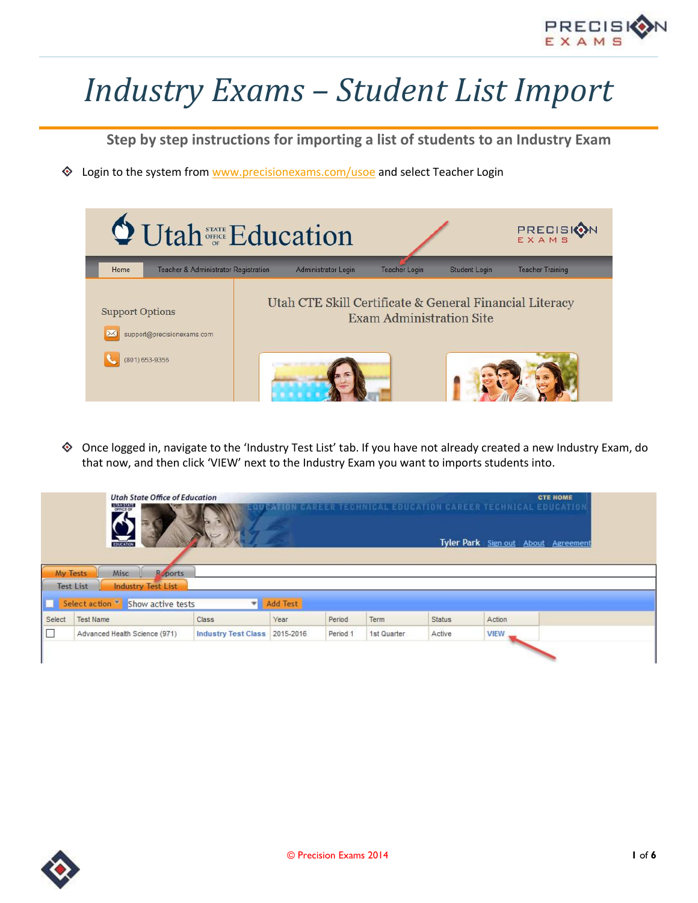

## *Industry Exams – Student List Import*

**Step by step instructions for importing a list of students to an Industry Exam**

♦ Login to the system from [www.precisionexams.com/usoe](http://www.precisionexams.com/usoe) and select Teacher Login



◈ Once logged in, navigate to the 'Industry Test List' tab. If you have not already created a new Industry Exam, do that now, and then click 'VIEW' next to the Industry Exam you want to imports students into.

|        | <b>Utah State Office of Education</b><br><b>DESERVALE</b><br>$\frac{1}{\sqrt{1-\frac{1}{2}}}\left\vert \frac{1}{\sqrt{1-\frac{1}{2}}}\right\vert$<br>My Tests<br>Misc<br><b>R</b> <sub>rports</sub><br><b>Industry Test List</b><br><b>Test List</b> |                            |           |          |             |               | ATION CAREER TECHNICAL EDUCATION CAREER TECHNICAL EDUCATION<br>Tyler Park Sign out About Agreement | <b>CTE HOME</b> |
|--------|------------------------------------------------------------------------------------------------------------------------------------------------------------------------------------------------------------------------------------------------------|----------------------------|-----------|----------|-------------|---------------|----------------------------------------------------------------------------------------------------|-----------------|
|        | Select action <sup>*</sup> Show active tests                                                                                                                                                                                                         | ÷                          | Add Test  |          |             |               |                                                                                                    |                 |
| Select | <b>Test Name</b>                                                                                                                                                                                                                                     | Class                      | Year      | Period   | Term        | <b>Status</b> | Action                                                                                             |                 |
| D      | Advanced Health Science (971)                                                                                                                                                                                                                        | <b>Industry Test Class</b> | 2015-2016 | Period 1 | 1st Quarter | Active        | <b>VIEW</b>                                                                                        |                 |
|        |                                                                                                                                                                                                                                                      |                            |           |          |             |               |                                                                                                    |                 |

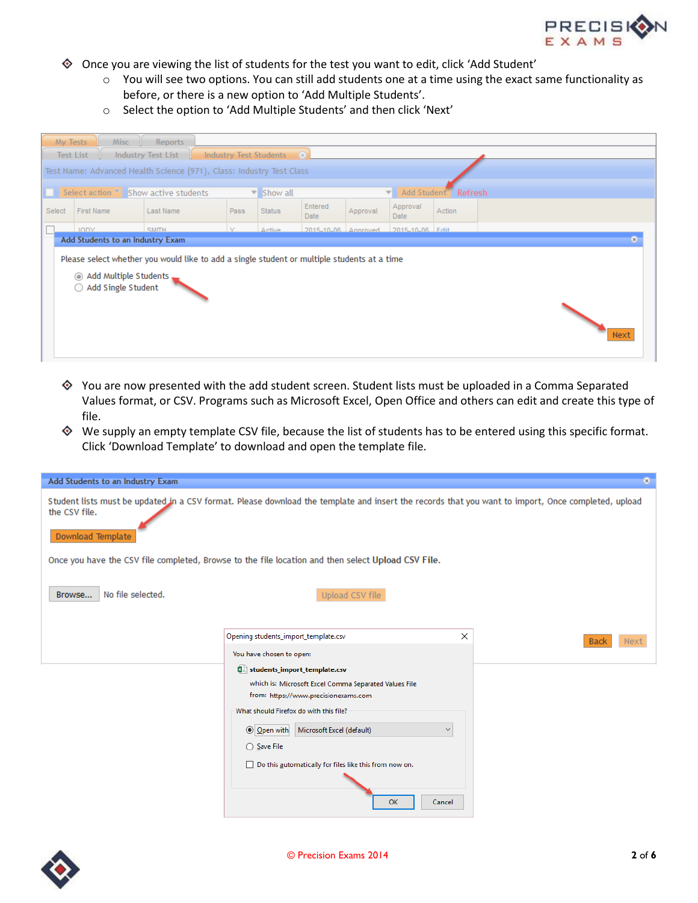

- Once you are viewing the list of students for the test you want to edit, click 'Add Student'
	- $\circ$  You will see two options. You can still add students one at a time using the exact same functionality as before, or there is a new option to 'Add Multiple Students'.
	- o Select the option to 'Add Multiple Students' and then click 'Next'

|        | My Tests<br>Misc                                                                                    | Reports                                                                                     |      |                                |                     |          |                  |                     |  |                |  |
|--------|-----------------------------------------------------------------------------------------------------|---------------------------------------------------------------------------------------------|------|--------------------------------|---------------------|----------|------------------|---------------------|--|----------------|--|
|        | $\left( 2\right)$<br><b>Industry Test List</b><br><b>Industry Test Students</b><br><b>Test List</b> |                                                                                             |      |                                |                     |          |                  |                     |  |                |  |
|        |                                                                                                     | Test Name: Advanced Health Science (971), Class: Industry Test Class                        |      |                                |                     |          |                  |                     |  |                |  |
|        | Select action $\sqrt{\ }$ Show active students                                                      |                                                                                             |      | $\blacktriangleright$ Show all |                     |          |                  | Add Student Refresh |  |                |  |
| Select | First Name                                                                                          | Last Name                                                                                   | Pass | <b>Status</b>                  | Entered<br>Date     | Approval | Approval<br>Date | Action              |  |                |  |
|        | <b>JODY</b>                                                                                         | SMITH                                                                                       | l v  | Active                         | 2015-10-06 Annroved |          | 2015-10-06 Fdit  |                     |  |                |  |
|        | Add Students to an Industry Exam                                                                    |                                                                                             |      |                                |                     |          |                  |                     |  | $\circledcirc$ |  |
|        |                                                                                                     | Please select whether you would like to add a single student or multiple students at a time |      |                                |                     |          |                  |                     |  |                |  |
|        | Add Multiple Students<br>Add Single Student                                                         |                                                                                             |      |                                |                     |          |                  |                     |  | Next           |  |

- $\diamondsuit$  You are now presented with the add student screen. Student lists must be uploaded in a Comma Separated Values format, or CSV. Programs such as Microsoft Excel, Open Office and others can edit and create this type of file.
- $\Diamond$  We supply an empty template CSV file, because the list of students has to be entered using this specific format. Click 'Download Template' to download and open the template file.

| Add Students to an Industry Exam                                                                                                                                                         |                                                                                                                                                                                                                                                                                                                                | $\circ$ |  |  |  |  |  |  |  |  |
|------------------------------------------------------------------------------------------------------------------------------------------------------------------------------------------|--------------------------------------------------------------------------------------------------------------------------------------------------------------------------------------------------------------------------------------------------------------------------------------------------------------------------------|---------|--|--|--|--|--|--|--|--|
| Student lists must be updated in a CSV format. Please download the template and insert the records that you want to import, Once completed, upload<br>the CSV file.<br>Download Template |                                                                                                                                                                                                                                                                                                                                |         |  |  |  |  |  |  |  |  |
| Once you have the CSV file completed, Browse to the file location and then select Upload CSV File.                                                                                       |                                                                                                                                                                                                                                                                                                                                |         |  |  |  |  |  |  |  |  |
| No file selected.<br>Browse                                                                                                                                                              | Upload CSV file                                                                                                                                                                                                                                                                                                                |         |  |  |  |  |  |  |  |  |
|                                                                                                                                                                                          | ×<br>Opening students_import_template.csv<br>Back                                                                                                                                                                                                                                                                              |         |  |  |  |  |  |  |  |  |
|                                                                                                                                                                                          | Next<br>You have chosen to open:                                                                                                                                                                                                                                                                                               |         |  |  |  |  |  |  |  |  |
|                                                                                                                                                                                          | 岛 students_import_template.csv<br>which is: Microsoft Excel Comma Separated Values File<br>from: https://www.precisionexams.com<br>What should Firefox do with this file?<br>Microsoft Excel (default)<br>O Open with<br>$\checkmark$<br>○ Save File<br>Do this automatically for files like this from now on.<br>OK<br>Cancel |         |  |  |  |  |  |  |  |  |

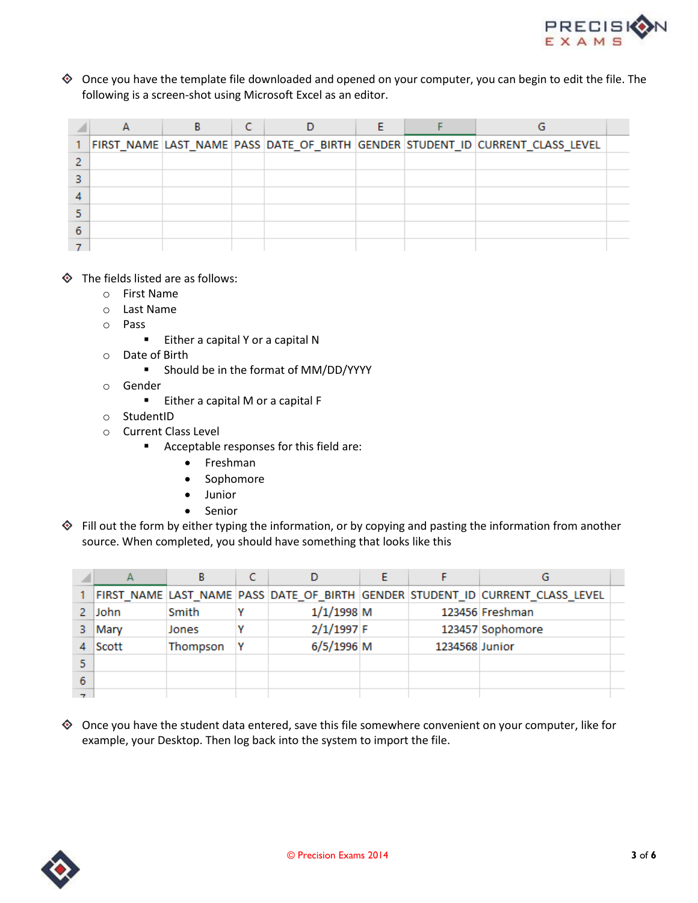

◆ Once you have the template file downloaded and opened on your computer, you can begin to edit the file. The following is a screen-shot using Microsoft Excel as an editor.

|  |  |  | FIRST_NAME LAST_NAME PASS DATE_OF_BIRTH GENDER STUDENT_ID CURRENT_CLASS_LEVEL |  |
|--|--|--|-------------------------------------------------------------------------------|--|
|  |  |  |                                                                               |  |
|  |  |  |                                                                               |  |
|  |  |  |                                                                               |  |
|  |  |  |                                                                               |  |
|  |  |  |                                                                               |  |
|  |  |  |                                                                               |  |

## $\diamond$  The fields listed are as follows:

- o First Name
- o Last Name
- o Pass
	- **Either a capital Y or a capital N**
- o Date of Birth
	- **Should be in the format of MM/DD/YYYY**
- o Gender
	- **Either a capital M or a capital F**
- o StudentID
- o Current Class Level
	- Acceptable responses for this field are:
		- Freshman
		- Sophomore
		- Junior
		- Senior
- $\diamondsuit$  Fill out the form by either typing the information, or by copying and pasting the information from another source. When completed, you should have something that looks like this

|       |          |              |                | FIRST NAME LAST NAME PASS DATE OF BIRTH GENDER STUDENT ID CURRENT CLASS LEVEL |  |
|-------|----------|--------------|----------------|-------------------------------------------------------------------------------|--|
| John  | Smith    | $1/1/1998$ M |                | 123456 Freshman                                                               |  |
| Mary  | Jones    | 2/1/1997 F   |                | 123457 Sophomore                                                              |  |
| Scott | Thompson | 6/5/1996 M   | 1234568 Junior |                                                                               |  |
|       |          |              |                |                                                                               |  |
|       |          |              |                |                                                                               |  |
|       |          |              |                |                                                                               |  |

 $\Diamond$  Once you have the student data entered, save this file somewhere convenient on your computer, like for example, your Desktop. Then log back into the system to import the file.

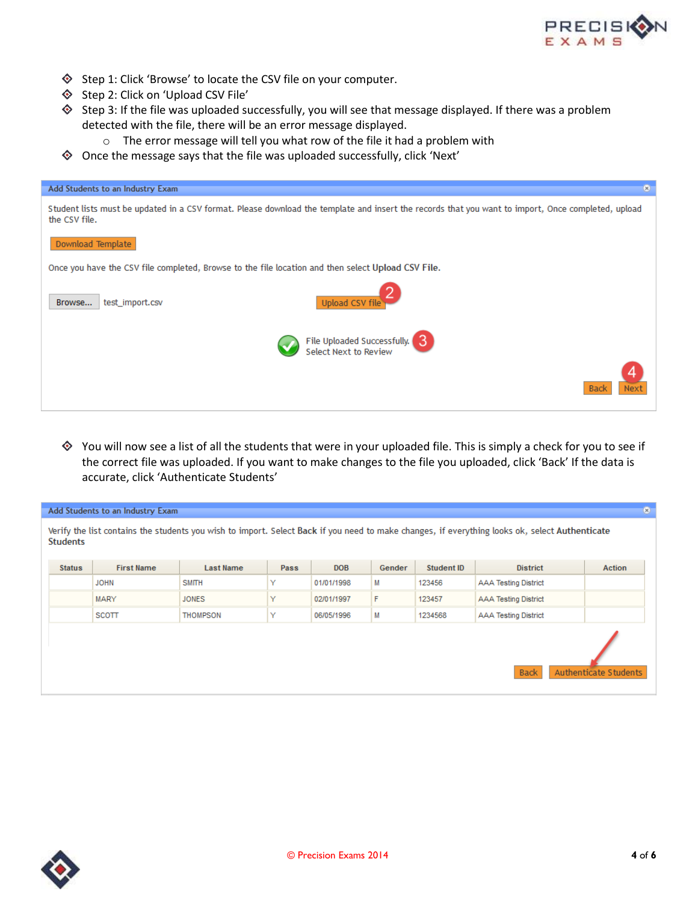

- $\diamondsuit$  Step 1: Click 'Browse' to locate the CSV file on your computer.
- Step 2: Click on 'Upload CSV File'
- $\diamond$  Step 3: If the file was uploaded successfully, you will see that message displayed. If there was a problem detected with the file, there will be an error message displayed.
	- o The error message will tell you what row of the file it had a problem with
- Once the message says that the file was uploaded successfully, click 'Next'



You will now see a list of all the students that were in your uploaded file. This is simply a check for you to see if the correct file was uploaded. If you want to make changes to the file you uploaded, click 'Back' If the data is accurate, click 'Authenticate Students'

|                                                               | Add Students to an Industry Exam<br>$\circ$                                                                                                    |                  |      |            |        |            |                             |                       |  |  |  |  |  |
|---------------------------------------------------------------|------------------------------------------------------------------------------------------------------------------------------------------------|------------------|------|------------|--------|------------|-----------------------------|-----------------------|--|--|--|--|--|
| <b>Students</b>                                               | Verify the list contains the students you wish to import. Select Back if you need to make changes, if everything looks ok, select Authenticate |                  |      |            |        |            |                             |                       |  |  |  |  |  |
| <b>Status</b>                                                 | <b>First Name</b>                                                                                                                              | <b>Last Name</b> | Pass | <b>DOB</b> | Gender | Student ID | <b>District</b>             | <b>Action</b>         |  |  |  |  |  |
|                                                               | <b>JOHN</b>                                                                                                                                    | <b>SMITH</b>     | Υ    | 01/01/1998 | M      | 123456     | <b>AAA Testing District</b> |                       |  |  |  |  |  |
| Υ<br>F<br><b>MARY</b><br><b>JONES</b><br>123457<br>02/01/1997 |                                                                                                                                                |                  |      |            |        |            | <b>AAA Testing District</b> |                       |  |  |  |  |  |
|                                                               | SCOTT                                                                                                                                          | <b>THOMPSON</b>  | Υ    | 06/05/1996 | М      | 1234568    | <b>AAA Testing District</b> |                       |  |  |  |  |  |
|                                                               |                                                                                                                                                |                  |      |            |        |            | <b>Back</b>                 | Authenticate Students |  |  |  |  |  |

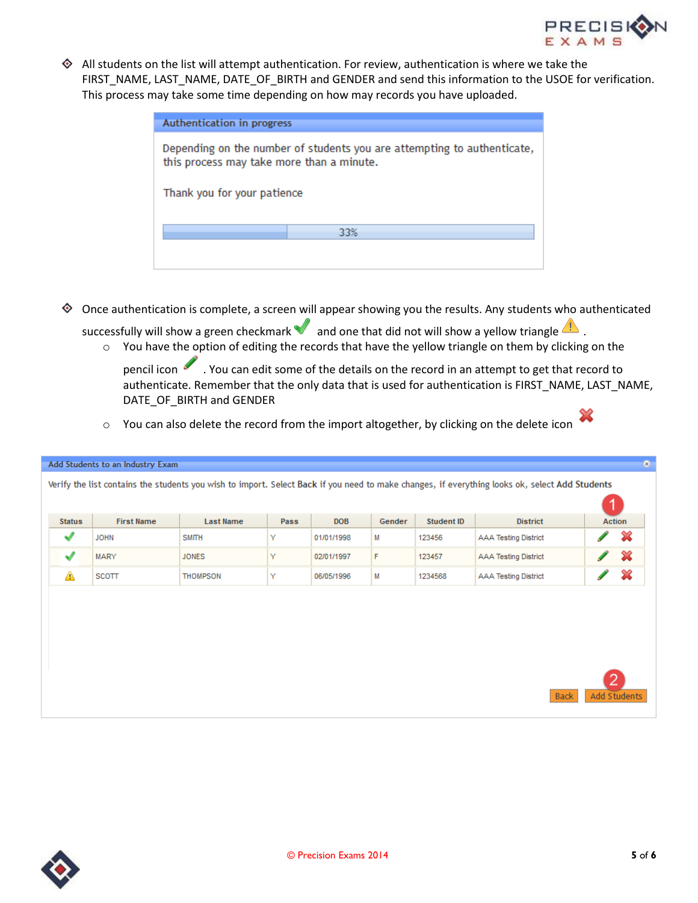

All students on the list will attempt authentication. For review, authentication is where we take the FIRST\_NAME, LAST\_NAME, DATE\_OF\_BIRTH and GENDER and send this information to the USOE for verification. This process may take some time depending on how may records you have uploaded.

| Authentication in progress                                                                                           |     |  |  |  |  |  |  |  |  |  |
|----------------------------------------------------------------------------------------------------------------------|-----|--|--|--|--|--|--|--|--|--|
| Depending on the number of students you are attempting to authenticate,<br>this process may take more than a minute. |     |  |  |  |  |  |  |  |  |  |
| Thank you for your patience                                                                                          |     |  |  |  |  |  |  |  |  |  |
|                                                                                                                      | 33% |  |  |  |  |  |  |  |  |  |
|                                                                                                                      |     |  |  |  |  |  |  |  |  |  |
|                                                                                                                      |     |  |  |  |  |  |  |  |  |  |

Once authentication is complete, a screen will appear showing you the results. Any students who authenticated

successfully will show a green checkmark and one that did not will show a yellow triangle

- o You have the option of editing the records that have the yellow triangle on them by clicking on the pencil icon . You can edit some of the details on the record in an attempt to get that record to
	- authenticate. Remember that the only data that is used for authentication is FIRST\_NAME, LAST\_NAME, DATE\_OF\_BIRTH and GENDER
- o You can also delete the record from the import altogether, by clicking on the delete icon

| <b>Status</b> | <b>First Name</b> | <b>Last Name</b> | Pass | <b>DOB</b> | Gender | <b>Student ID</b> | <b>District</b>             |                                                                                                                                                                                                                                | <b>Action</b> |
|---------------|-------------------|------------------|------|------------|--------|-------------------|-----------------------------|--------------------------------------------------------------------------------------------------------------------------------------------------------------------------------------------------------------------------------|---------------|
| $\checkmark$  | <b>JOHN</b>       | <b>SMITH</b>     | Y    | 01/01/1998 | M      | 123456            | <b>AAA Testing District</b> |                                                                                                                                                                                                                                | X             |
| $\checkmark$  | <b>MARY</b>       | <b>JONES</b>     | Υ    | 02/01/1997 | F      | 123457            | <b>AAA Testing District</b> | a de la construcción de la construcción de la construcción de la construcción de la construcción de la construcción de la construcción de la construcción de la construcción de la construcción de la construcción de la const | X             |
| ⚠             | SCOTT             | <b>THOMPSON</b>  | Y    | 06/05/1996 | М      | 1234568           | <b>AAA Testing District</b> |                                                                                                                                                                                                                                | X             |
|               |                   |                  |      |            |        |                   |                             |                                                                                                                                                                                                                                |               |